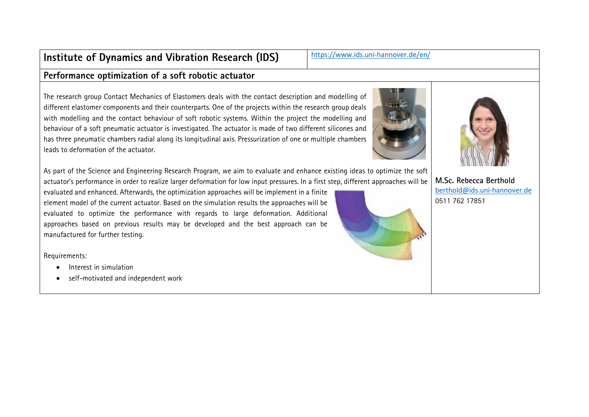# **Institute of Dynamics and Vibration Research (IDS)** <https://www.ids.uni-hannover.de/en/>

#### **Performance optimization of a soft robotic actuator**

The research group Contact Mechanics of Elastomers deals with the contact description and modelling of different elastomer components and their counterparts. One of the projects within the research group deals with modelling and the contact behaviour of soft robotic systems. Within the project the modelling and behaviour of a soft pneumatic actuator is investigated. The actuator is made of two different silicones and has three pneumatic chambers radial along its longitudinal axis. Pressurization of one or multiple chambers leads to deformation of the actuator.

As part of the Science and Engineering Research Program, we aim to evaluate and enhance existing ideas to optimize the soft actuator's performance in order to realize larger deformation for low input pressures. In a first step, different approaches will be

evaluated and enhanced. Afterwards, the optimization approaches will be implement in a finite element model of the current actuator. Based on the simulation results the approaches will be evaluated to optimize the performance with regards to large deformation. Additional approaches based on previous results may be developed and the best approach can be manufactured for further testing.

Requirements:

- Interest in simulation
- self-motivated and independent work





**M.Sc. Rebecca Berthold** berthold@ids.uni-hannover.de 0511 762 17851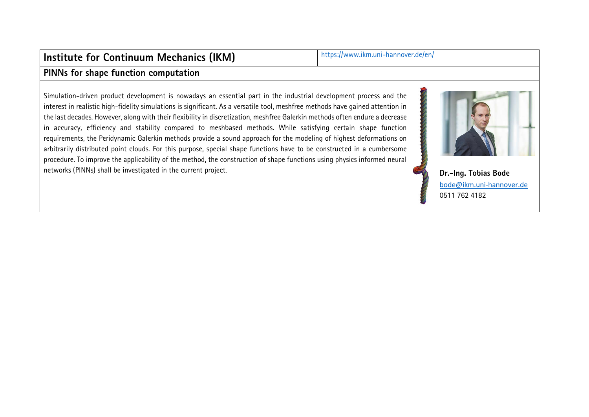# **Institute for Continuum Mechanics (IKM)** <https://www.ikm.uni-hannover.de/en/>

#### **PINNs for shape function computation**

Simulation-driven product development is nowadays an essential part in the industrial development process and the interest in realistic high-fidelity simulations is significant. As a versatile tool, meshfree methods have gained attention in the last decades. However, along with their flexibility in discretization, meshfree Galerkin methods often endure a decrease in accuracy, efficiency and stability compared to meshbased methods. While satisfying certain shape function requirements, the Peridynamic Galerkin methods provide a sound approach for the modeling of highest deformations on arbitrarily distributed point clouds. For this purpose, special shape functions have to be constructed in a cumbersome procedure. To improve the applicability of the method, the construction of shape functions using physics informed neural networks (PINNs) shall be investigated in the current project. **Dr.-Ing. Tobias Bode** 



bode@ikm.uni-hannover.de 0511 762 4182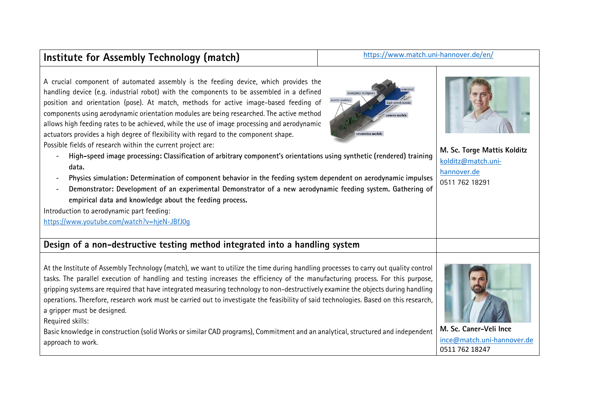## Institute for Assembly Technology (match) <https://www.match.uni-hannover.de/en/>

A crucial component of automated assembly is the feeding device, which provides the handling device (e.g. industrial robot) with the components to be assembled in a defined position and orientation (pose). At match, methods for active image-based feeding of components using aerodynamic orientation modules are being researched. The active method allows high feeding rates to be achieved, while the use of image processing and aerodynamic actuators provides a high degree of flexibility with regard to the component shape.

Possible fields of research within the current project are:

- **High-speed image processing: Classification of arbitrary component's orientations using synthetic (rendered) training data.**
- **Physics simulation: Determination of component behavior in the feeding system dependent on aerodynamic impulses**
- **Demonstrator: Development of an experimental Demonstrator of a new aerodynamic feeding system. Gathering of empirical data and knowledge about the feeding process.**

Introduction to aerodynamic part feeding:

<https://www.youtube.com/watch?v=hjeN-JBfJ0g>

## **Design of a non-destructive testing method integrated into a handling system**

At the Institute of Assembly Technology (match), we want to utilize the time during handling processes to carry out quality control tasks. The parallel execution of handling and testing increases the efficiency of the manufacturing process. For this purpose, gripping systems are required that have integrated measuring technology to non-destructively examine the objects during handling operations. Therefore, research work must be carried out to investigate the feasibility of said technologies. Based on this research, a gripper must be designed.

Required skills:

Basic knowledge in construction (solid Works or similar CAD programs), Commitment and an analytical, structured and independent approach to work.





**M. Sc. Torge Mattis Kolditz** kolditz@match.unihannover.de 0511 762 18291

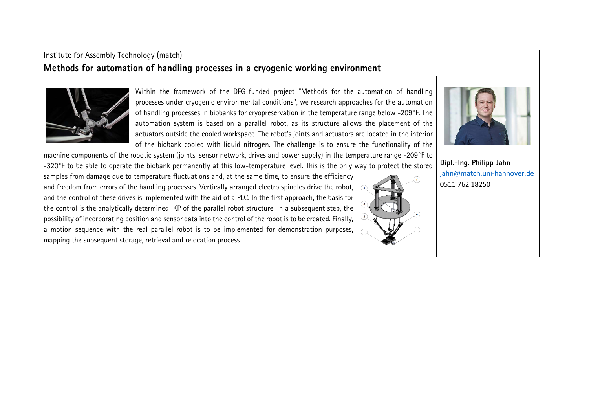#### Institute for Assembly Technology (match)

### **Methods for automation of handling processes in a cryogenic working environment**



Within the framework of the DFG-funded project "Methods for the automation of handling processes under cryogenic environmental conditions", we research approaches for the automation of handling processes in biobanks for cryopreservation in the temperature range below -209°F. The automation system is based on a parallel robot, as its structure allows the placement of the actuators outside the cooled workspace. The robot's joints and actuators are located in the interior of the biobank cooled with liquid nitrogen. The challenge is to ensure the functionality of the

machine components of the robotic system (joints, sensor network, drives and power supply) in the temperature range -209°F to -320°F to be able to operate the biobank permanently at this low-temperature level. This is the only way to protect the stored

samples from damage due to temperature fluctuations and, at the same time, to ensure the efficiency and freedom from errors of the handling processes. Vertically arranged electro spindles drive the robot, and the control of these drives is implemented with the aid of a PLC. In the first approach, the basis for the control is the analytically determined IKP of the parallel robot structure. In a subsequent step, the possibility of incorporating position and sensor data into the control of the robot is to be created. Finally, a motion sequence with the real parallel robot is to be implemented for demonstration purposes, mapping the subsequent storage, retrieval and relocation process.



**Dipl.-Ing. Philipp Jahn** jahn@match.uni-hannover.de 0511 762 18250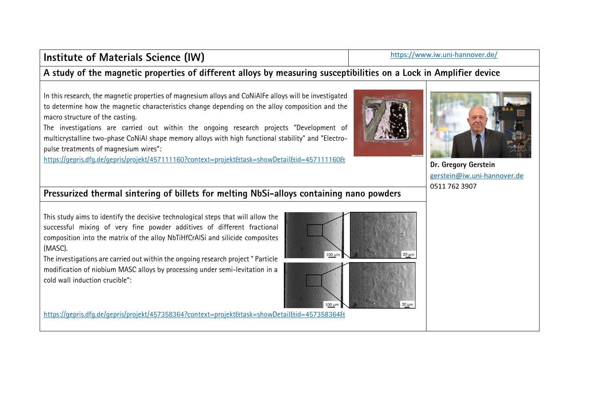## **[Institute of Materials Science \(IW\)](https://www.iw.uni-hannover.de/)** https://www.iw.uni-hannover.de/

#### **A study of the magnetic properties of different alloys by measuring susceptibilities on a Lock in Amplifier device**

In this research, the magnetic properties of magnesium alloys and CoNiAlFe alloys will be investigated to determine how the magnetic characteristics change depending on the alloy composition and the macro structure of the casting.

The investigations are carried out within the ongoing research projects "Development of multicrystalline two-phase CoNiAl shape memory alloys with high functional stability" and "Electropulse treatments of magnesium wires":

<https://gepris.dfg.de/gepris/projekt/457111160?context=projekt&task=showDetail&id=457111160&> **Dr. Gregory Gerstein**



 $20 \mu m$ 



[gerstein@iw.uni-hannover.de](mailto:gerstein@iw.uni-hannover.de) [0511 762 3907](tel:+495117623907)

### **Pressurized thermal sintering of billets for melting NbSi-alloys containing nano powders**

This study aims to identify the decisive technological steps that will allow the successful mixing of very fine powder additives of different fractional composition into the matrix of the alloy NbTiHfCrAlSi and silicide composites (MASC).

The investigations are carried out within the ongoing research project " Particle modification of niobium MASC alloys by processing under semi-levitation in a cold wall induction crucible":

<https://gepris.dfg.de/gepris/projekt/457358364?context=projekt&task=showDetail&id=457358364&>

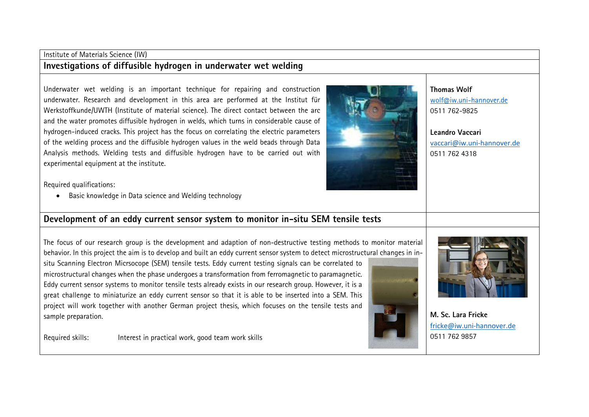#### Institute of Materials Science (IW) **Investigations of diffusible hydrogen in underwater wet welding**

Underwater wet welding is an important technique for repairing and construction underwater. Research and development in this area are performed at the Institut für Werkstoffkunde/UWTH (Institute of material science). The direct contact between the arc and the water promotes diffusible hydrogen in welds, which turns in considerable cause of hydrogen-induced cracks. This project has the focus on correlating the electric parameters of the welding process and the diffusible hydrogen values in the weld beads through Data Analysis methods. Welding tests and diffusible hydrogen have to be carried out with experimental equipment at the institute.



**Thomas Wolf** [wolf@iw.uni-hannover.de](mailto:wolf@iw.uni-hannover.de) 0511 762-9825

**Leandro Vaccari**  vaccari@iw.uni-hannover.de 0511 762 4318

Required qualifications:

• Basic knowledge in Data science and Welding technology

#### **Development of an eddy current sensor system to monitor in-situ SEM tensile tests**

The focus of our research group is the development and adaption of non-destructive testing methods to monitor material behavior. In this project the aim is to develop and built an eddy current sensor system to detect microstructural changes in in-

situ Scanning Electron Micrsocope (SEM) tensile tests. Eddy current testing signals can be correlated to microstructural changes when the phase undergoes a transformation from ferromagnetic to paramagnetic. Eddy current sensor systems to monitor tensile tests already exists in our research group. However, it is a great challenge to miniaturize an eddy current sensor so that it is able to be inserted into a SEM. This project will work together with another German project thesis, which focuses on the tensile tests and sample preparation.

Required skills: Interest in practical work, good team work skills



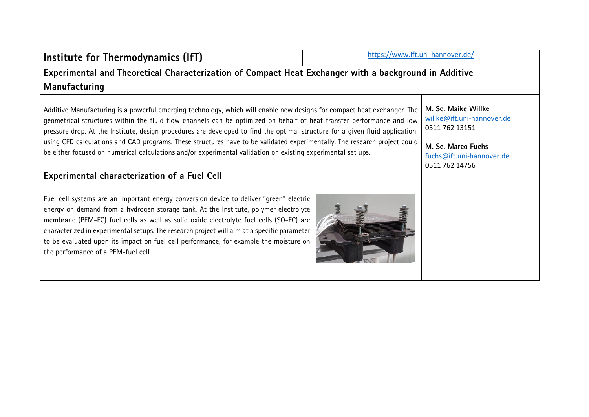| Institute for Thermodynamics (IfT)                                                                                                                                                                                                                                                                                                                                                                                                                                                                                                                                                                                                                                                    | https://www.ift.uni-hannover.de/ |                                                                                                                                          |
|---------------------------------------------------------------------------------------------------------------------------------------------------------------------------------------------------------------------------------------------------------------------------------------------------------------------------------------------------------------------------------------------------------------------------------------------------------------------------------------------------------------------------------------------------------------------------------------------------------------------------------------------------------------------------------------|----------------------------------|------------------------------------------------------------------------------------------------------------------------------------------|
| Experimental and Theoretical Characterization of Compact Heat Exchanger with a background in Additive                                                                                                                                                                                                                                                                                                                                                                                                                                                                                                                                                                                 |                                  |                                                                                                                                          |
| Manufacturing                                                                                                                                                                                                                                                                                                                                                                                                                                                                                                                                                                                                                                                                         |                                  |                                                                                                                                          |
| Additive Manufacturing is a powerful emerging technology, which will enable new designs for compact heat exchanger. The<br>geometrical structures within the fluid flow channels can be optimized on behalf of heat transfer performance and low<br>pressure drop. At the Institute, design procedures are developed to find the optimal structure for a given fluid application,<br>using CFD calculations and CAD programs. These structures have to be validated experimentally. The research project could<br>be either focused on numerical calculations and/or experimental validation on existing experimental set ups.<br><b>Experimental characterization of a Fuel Cell</b> |                                  | M. Sc. Maike Willke<br>willke@ift.uni-hannover.de<br>0511 762 13151<br>M. Sc. Marco Fuchs<br>fuchs@ift.uni-hannover.de<br>0511 762 14756 |
| Fuel cell systems are an important energy conversion device to deliver "green" electric<br>energy on demand from a hydrogen storage tank. At the Institute, polymer electrolyte<br>membrane (PEM-FC) fuel cells as well as solid oxide electrolyte fuel cells (SO-FC) are<br>characterized in experimental setups. The research project will aim at a specific parameter<br>to be evaluated upon its impact on fuel cell performance, for example the moisture on<br>the performance of a PEM-fuel cell.                                                                                                                                                                              |                                  |                                                                                                                                          |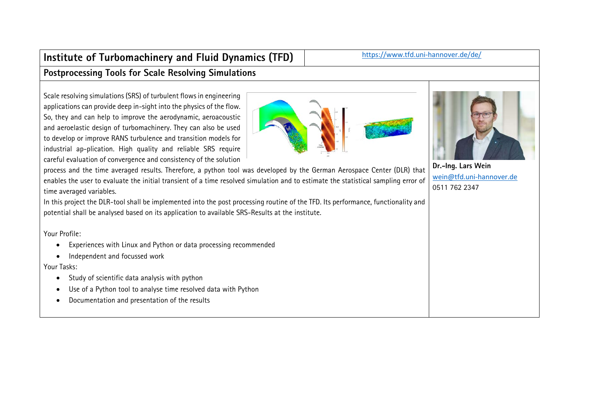## Institute of Turbomachinery and Fluid Dynamics (TFD) https://www.tfd.uni-hannover.de/de/ **Postprocessing Tools for Scale Resolving Simulations**

Scale resolving simulations (SRS) of turbulent flows in engineering applications can provide deep in-sight into the physics of the flow. So, they and can help to improve the aerodynamic, aeroacoustic and aeroelastic design of turbomachinery. They can also be used to develop or improve RANS turbulence and transition models for industrial ap-plication. High quality and reliable SRS require careful evaluation of convergence and consistency of the solution

process and the time averaged results. Therefore, a python tool was developed by the German Aerospace Center (DLR) that enables the user to evaluate the initial transient of a time resolved simulation and to estimate the statistical sampling error of time averaged variables.

In this project the DLR-tool shall be implemented into the post processing routine of the TFD. Its performance, functionality and potential shall be analysed based on its application to available SRS-Results at the institute.

Your Profile:

- Experiences with Linux and Python or data processing recommended
- Independent and focussed work

Your Tasks:

- Study of scientific data analysis with python
- Use of a Python tool to analyse time resolved data with Python
- Documentation and presentation of the results

**Dr.-Ing. Lars Wein** wein@tfd.uni-hannover.de 0511 762 2347



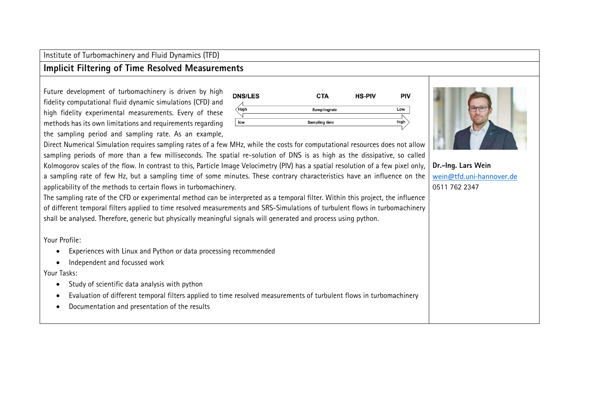Institute of Turbomachinery and Fluid Dynamics (TFD)

#### **Implicit Filtering of Time Resolved Measurements**

Future development of turbomachinery is driven by high fidelity computational fluid dynamic simulations (CFD) and high fidelity experimental measurements. Every of these methods has its own limitations and requirements regarding the sampling period and sampling rate. As an example,



Direct Numerical Simulation requires sampling rates of a few MHz, while the costs for computational resources does not allow sampling periods of more than a few milliseconds. The spatial re-solution of DNS is as high as the dissipative, so called Kolmogorov scales of the flow. In contrast to this, Particle Image Velocimetry (PIV) has a spatial resolution of a few pixel only, a sampling rate of few Hz, but a sampling time of some minutes. These contrary characteristics have an influence on the applicability of the methods to certain flows in turbomachinery.

The sampling rate of the CFD or experimental method can be interpreted as a temporal filter. Within this project, the influence of different temporal filters applied to time resolved measurements and SRS-Simulations of turbulent flows in turbomachinery shall be analysed. Therefore, generic but physically meaningful signals will generated and process using python.

Your Profile:

- Experiences with Linux and Python or data processing recommended
- Independent and focussed work

Your Tasks:

- Study of scientific data analysis with python
- Evaluation of different temporal filters applied to time resolved measurements of turbulent flows in turbomachinery
- Documentation and presentation of the results



**Dr.-Ing. Lars Wein** wein@tfd.uni-hannover.de 0511 762 2347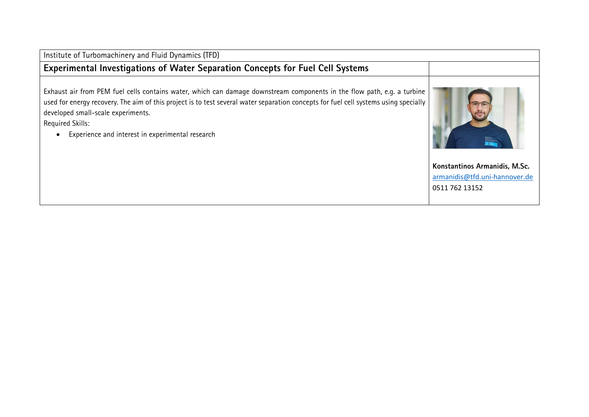| Institute of Turbomachinery and Fluid Dynamics (TFD)                                                                                                                                                                                                                                                                                                                          |                               |
|-------------------------------------------------------------------------------------------------------------------------------------------------------------------------------------------------------------------------------------------------------------------------------------------------------------------------------------------------------------------------------|-------------------------------|
| Experimental Investigations of Water Separation Concepts for Fuel Cell Systems                                                                                                                                                                                                                                                                                                |                               |
| Exhaust air from PEM fuel cells contains water, which can damage downstream components in the flow path, e.g. a turbine<br>used for energy recovery. The aim of this project is to test several water separation concepts for fuel cell systems using specially<br>developed small-scale experiments.<br>Required Skills:<br>Experience and interest in experimental research |                               |
|                                                                                                                                                                                                                                                                                                                                                                               | Konstantinos Armanidis, M.Sc. |
|                                                                                                                                                                                                                                                                                                                                                                               | armanidis@tfd.uni-hannover.de |

0511 762 13152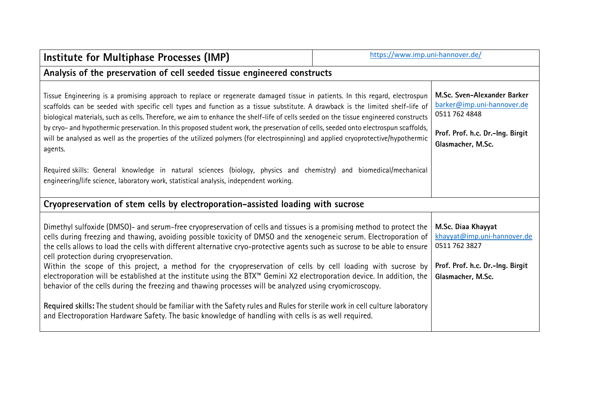| Institute for Multiphase Processes (IMP)                                                                                                                                                                                                                                                                                                                                                                                                                                                                                                                                                                                                                                                                                                                                                                                                                                                                                                                                                                                   | https://www.imp.uni-hannover.de/ |                                                                                                                                     |  |
|----------------------------------------------------------------------------------------------------------------------------------------------------------------------------------------------------------------------------------------------------------------------------------------------------------------------------------------------------------------------------------------------------------------------------------------------------------------------------------------------------------------------------------------------------------------------------------------------------------------------------------------------------------------------------------------------------------------------------------------------------------------------------------------------------------------------------------------------------------------------------------------------------------------------------------------------------------------------------------------------------------------------------|----------------------------------|-------------------------------------------------------------------------------------------------------------------------------------|--|
| Analysis of the preservation of cell seeded tissue engineered constructs                                                                                                                                                                                                                                                                                                                                                                                                                                                                                                                                                                                                                                                                                                                                                                                                                                                                                                                                                   |                                  |                                                                                                                                     |  |
| Tissue Engineering is a promising approach to replace or regenerate damaged tissue in patients. In this regard, electrospun<br>scaffolds can be seeded with specific cell types and function as a tissue substitute. A drawback is the limited shelf-life of<br>biological materials, such as cells. Therefore, we aim to enhance the shelf-life of cells seeded on the tissue engineered constructs<br>by cryo- and hypothermic preservation. In this proposed student work, the preservation of cells, seeded onto electrospun scaffolds,<br>will be analysed as well as the properties of the utilized polymers (for electrospinning) and applied cryoprotective/hypothermic<br>agents.                                                                                                                                                                                                                                                                                                                                 |                                  | M.Sc. Sven-Alexander Barker<br>barker@imp.uni-hannover.de<br>0511 762 4848<br>Prof. Prof. h.c. Dr.-Ing. Birgit<br>Glasmacher, M.Sc. |  |
| Required skills: General knowledge in natural sciences (biology, physics and chemistry) and biomedical/mechanical<br>engineering/life science, laboratory work, statistical analysis, independent working.                                                                                                                                                                                                                                                                                                                                                                                                                                                                                                                                                                                                                                                                                                                                                                                                                 |                                  |                                                                                                                                     |  |
| Cryopreservation of stem cells by electroporation-assisted loading with sucrose                                                                                                                                                                                                                                                                                                                                                                                                                                                                                                                                                                                                                                                                                                                                                                                                                                                                                                                                            |                                  |                                                                                                                                     |  |
| Dimethyl sulfoxide (DMSO)- and serum-free cryopreservation of cells and tissues is a promising method to protect the<br>cells during freezing and thawing, avoiding possible toxicity of DMSO and the xenogeneic serum. Electroporation of<br>the cells allows to load the cells with different alternative cryo-protective agents such as sucrose to be able to ensure<br>cell protection during cryopreservation.<br>Within the scope of this project, a method for the cryopreservation of cells by cell loading with sucrose by<br>electroporation will be established at the institute using the BTX <sup>™</sup> Gemini X2 electroporation device. In addition, the<br>behavior of the cells during the freezing and thawing processes will be analyzed using cryomicroscopy.<br>Required skills: The student should be familiar with the Safety rules and Rules for sterile work in cell culture laboratory<br>and Electroporation Hardware Safety. The basic knowledge of handling with cells is as well required. |                                  | M.Sc. Diaa Khayyat<br>khayyat@imp.uni-hannover.de<br>0511 762 3827<br>Prof. Prof. h.c. Dr.-Ing. Birgit<br>Glasmacher, M.Sc.         |  |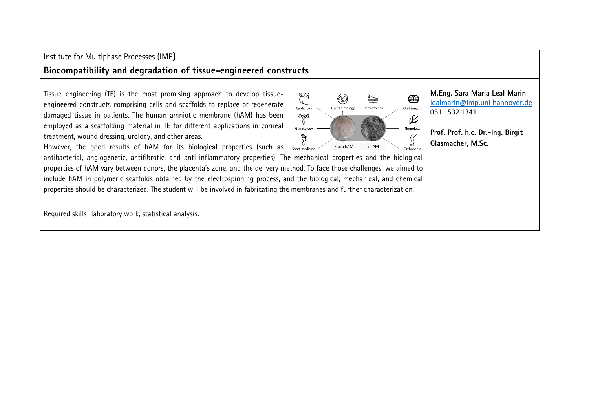Institute for Multiphase Processes (IMP**)**

#### **Biocompatibility and degradation of tissue-engineered constructs**

Tissue engineering (TE) is the most promising approach to develop tissueengineered constructs comprising cells and scaffolds to replace or regenerate damaged tissue in patients. The human amniotic membrane (hAM) has been employed as a scaffolding material in TE for different applications in corneal treatment, wound dressing, urology, and other areas.

ER ⊞ ◈ 崇 Cardiology Ophthalmology Dermatology Oral surgery  $\gamma$ 叱 Gynecology Neurology J ∬ Fresh hAM TE hAM Orthopedic **M.Eng. Sara Maria Leal Marin**  [lealmarin@imp.uni-hannover.de](mailto:lealmarin@imp.uni-hannover.de) [0511 532 1341](tel:+495115321341)

**Prof. Prof. h.c. Dr.-Ing. Birgit Glasmacher, M.Sc.**

However, the good results of hAM for its biological properties (such as  $\frac{U}{S_{\text{post medicine}}}$ 

antibacterial, angiogenetic, antifibrotic, and anti-inflammatory properties). The mechanical properties and the biological properties of hAM vary between donors, the placenta's zone, and the delivery method. To face those challenges, we aimed to include hAM in polymeric scaffolds obtained by the electrospinning process, and the biological, mechanical, and chemical properties should be characterized. The student will be involved in fabricating the membranes and further characterization.

Required skills: laboratory work, statistical analysis.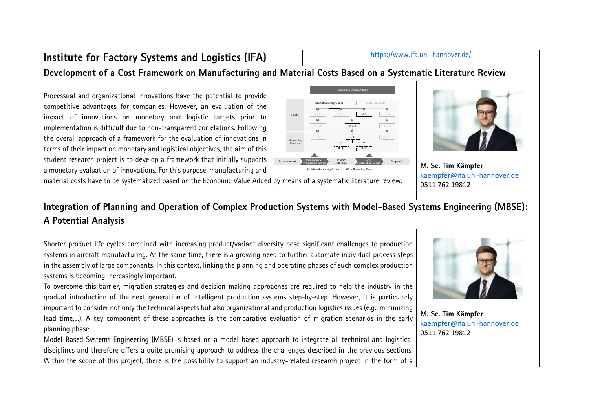## Institute for Factory Systems and Logistics (IFA) <https://www.ifa.uni-hannover.de/>

## **Development of a Cost Framework on Manufacturing and Material Costs Based on a Systematic Literature Review**

Processual and organizational innovations have the potential to provide competitive advantages for companies. However, an evaluation of the impact of innovations on monetary and logistic targets prior to implementation is difficult due to non-transparent correlations. Following the overall approach of a framework for the evaluation of innovations in terms of their impact on monetary and logistical objectives, the aim of this student research project is to develop a framework that initially supports a monetary evaluation of innovations. For this purpose, manufacturing and





**M. Sc. Tim Kämpfer**  [kaempfer@ifa.uni-hannover.de](mailto:kaempfer@ifa.uni-hannover.de) [0511 762 19812](tel:+4951176219812)

material costs have to be systematized based on the Economic Value Added by means of a systematic literature review.

## **Integration of Planning and Operation of Complex Production Systems with Model-Based Systems Engineering (MBSE): A Potential Analysis**

Shorter product life cycles combined with increasing product/variant diversity pose significant challenges to production systems in aircraft manufacturing. At the same time, there is a growing need to further automate individual process steps in the assembly of large components. In this context, linking the planning and operating phases of such complex production systems is becoming increasingly important.

To overcome this barrier, migration strategies and decision-making approaches are required to help the industry in the gradual introduction of the next generation of intelligent production systems step-by-step. However, it is particularly important to consider not only the technical aspects but also organizational and production logistics issues (e.g., minimizing lead time,...). A key component of these approaches is the comparative evaluation of migration scenarios in the early planning phase.

Model-Based Systems Engineering (MBSE) is based on a model-based approach to integrate all technical and logistical disciplines and therefore offers a quite promising approach to address the challenges described in the previous sections. Within the scope of this project, there is the possibility to support an industry-related research project in the form of a



**M. Sc. Tim Kämpfer**  [kaempfer@ifa.uni-hannover.de](mailto:kaempfer@ifa.uni-hannover.de) [0511 762 19812](tel:+4951176219812)